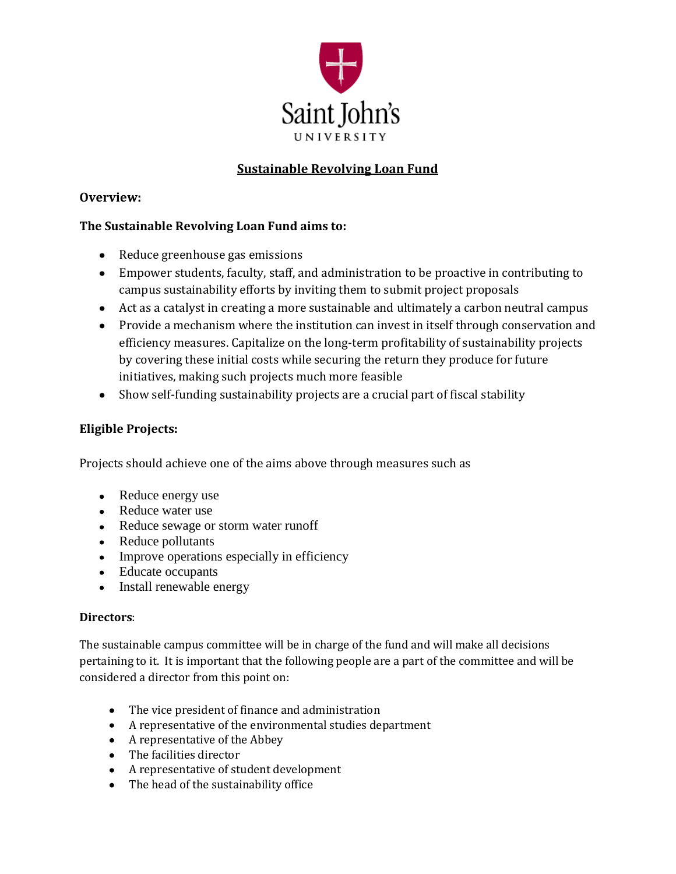

# **Sustainable Revolving Loan Fund**

## **Overview:**

## **The Sustainable Revolving Loan Fund aims to:**

- Reduce greenhouse gas emissions
- Empower students, faculty, staff, and administration to be proactive in contributing to campus sustainability efforts by inviting them to submit project proposals
- Act as a catalyst in creating a more sustainable and ultimately a carbon neutral campus
- Provide a mechanism where the institution can invest in itself through conservation and efficiency measures. Capitalize on the long-term profitability of sustainability projects by covering these initial costs while securing the return they produce for future initiatives, making such projects much more feasible
- Show self-funding sustainability projects are a crucial part of fiscal stability

### **Eligible Projects:**

Projects should achieve one of the aims above through measures such as

- Reduce energy use
- Reduce water use
- Reduce sewage or storm water runoff
- Reduce pollutants
- Improve operations especially in efficiency
- Educate occupants
- Install renewable energy

### **Directors**:

The sustainable campus committee will be in charge of the fund and will make all decisions pertaining to it. It is important that the following people are a part of the committee and will be considered a director from this point on:

- The vice president of finance and administration
- A representative of the environmental studies department
- A representative of the Abbey
- The facilities director
- A representative of student development
- The head of the sustainability office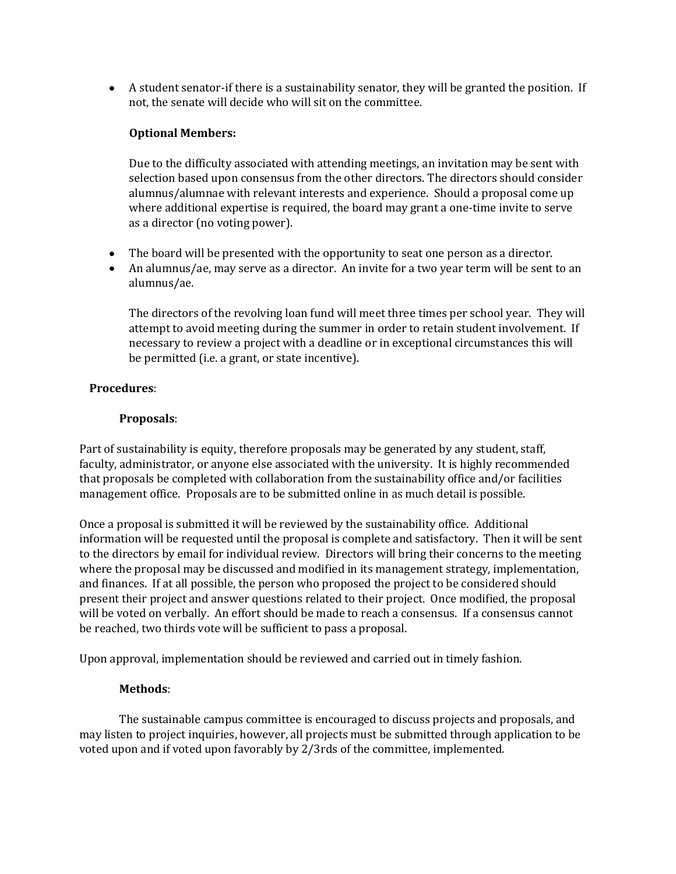A student senator-if there is a sustainability senator, they will be granted the position. If not, the senate will decide who will sit on the committee.

### **Optional Members:**

Due to the difficulty associated with attending meetings, an invitation may be sent with selection based upon consensus from the other directors. The directors should consider alumnus/alumnae with relevant interests and experience. Should a proposal come up where additional expertise is required, the board may grant a one-time invite to serve as a director (no voting power).

- The board will be presented with the opportunity to seat one person as a director.
- An alumnus/ae, may serve as a director. An invite for a two year term will be sent to an alumnus/ae.

The directors of the revolving loan fund will meet three times per school year. They will attempt to avoid meeting during the summer in order to retain student involvement. If necessary to review a project with a deadline or in exceptional circumstances this will be permitted (i.e. a grant, or state incentive).

#### **Procedures**:

#### **Proposals**:

Part of sustainability is equity, therefore proposals may be generated by any student, staff, faculty, administrator, or anyone else associated with the university. It is highly recommended that proposals be completed with collaboration from the sustainability office and/or facilities management office. Proposals are to be submitted online in as much detail is possible.

Once a proposal is submitted it will be reviewed by the sustainability office. Additional information will be requested until the proposal is complete and satisfactory. Then it will be sent to the directors by email for individual review. Directors will bring their concerns to the meeting where the proposal may be discussed and modified in its management strategy, implementation, and finances. If at all possible, the person who proposed the project to be considered should present their project and answer questions related to their project. Once modified, the proposal will be voted on verbally. An effort should be made to reach a consensus. If a consensus cannot be reached, two thirds vote will be sufficient to pass a proposal.

Upon approval, implementation should be reviewed and carried out in timely fashion.

### **Methods**:

The sustainable campus committee is encouraged to discuss projects and proposals, and may listen to project inquiries, however, all projects must be submitted through application to be voted upon and if voted upon favorably by 2/3rds of the committee, implemented.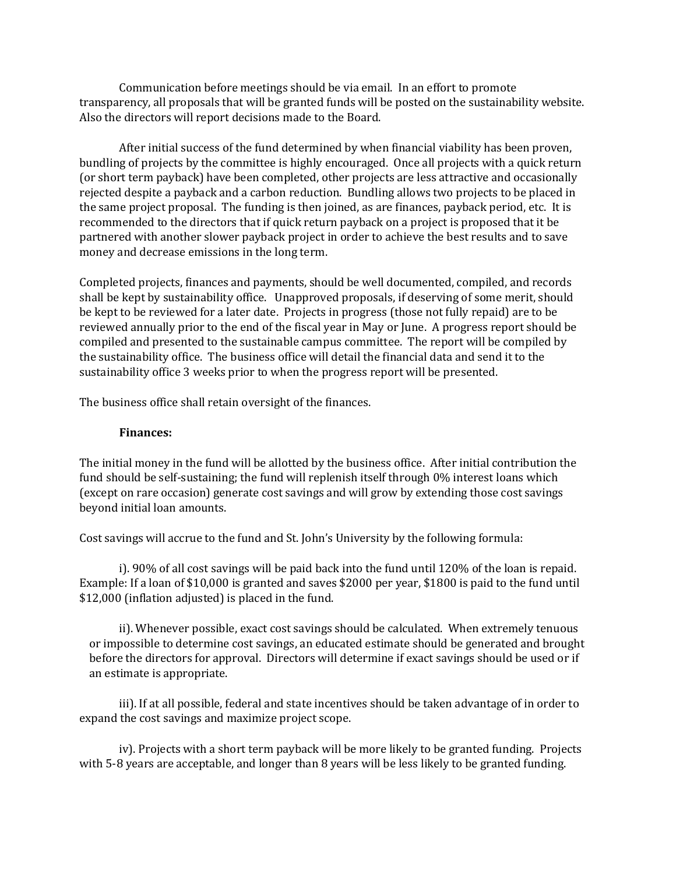Communication before meetings should be via email. In an effort to promote transparency, all proposals that will be granted funds will be posted on the sustainability website. Also the directors will report decisions made to the Board.

After initial success of the fund determined by when financial viability has been proven, bundling of projects by the committee is highly encouraged. Once all projects with a quick return (or short term payback) have been completed, other projects are less attractive and occasionally rejected despite a payback and a carbon reduction. Bundling allows two projects to be placed in the same project proposal. The funding is then joined, as are finances, payback period, etc. It is recommended to the directors that if quick return payback on a project is proposed that it be partnered with another slower payback project in order to achieve the best results and to save money and decrease emissions in the long term.

Completed projects, finances and payments, should be well documented, compiled, and records shall be kept by sustainability office. Unapproved proposals, if deserving of some merit, should be kept to be reviewed for a later date. Projects in progress (those not fully repaid) are to be reviewed annually prior to the end of the fiscal year in May or June. A progress report should be compiled and presented to the sustainable campus committee. The report will be compiled by the sustainability office. The business office will detail the financial data and send it to the sustainability office 3 weeks prior to when the progress report will be presented.

The business office shall retain oversight of the finances.

#### **Finances:**

The initial money in the fund will be allotted by the business office. After initial contribution the fund should be self-sustaining; the fund will replenish itself through 0% interest loans which (except on rare occasion) generate cost savings and will grow by extending those cost savings beyond initial loan amounts.

Cost savings will accrue to the fund and St. John's University by the following formula:

i). 90% of all cost savings will be paid back into the fund until 120% of the loan is repaid. Example: If a loan of \$10,000 is granted and saves \$2000 per year, \$1800 is paid to the fund until \$12,000 (inflation adjusted) is placed in the fund.

ii). Whenever possible, exact cost savings should be calculated. When extremely tenuous or impossible to determine cost savings, an educated estimate should be generated and brought before the directors for approval. Directors will determine if exact savings should be used or if an estimate is appropriate.

iii). If at all possible, federal and state incentives should be taken advantage of in order to expand the cost savings and maximize project scope.

iv). Projects with a short term payback will be more likely to be granted funding. Projects with 5-8 years are acceptable, and longer than 8 years will be less likely to be granted funding.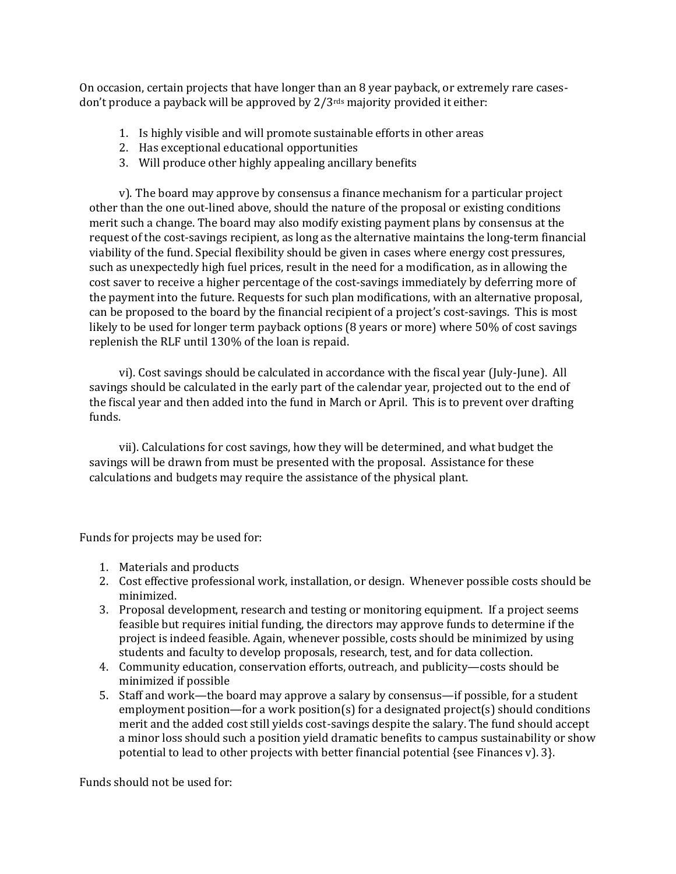On occasion, certain projects that have longer than an 8 year payback, or extremely rare casesdon't produce a payback will be approved by  $2/3$ <sup>rds</sup> majority provided it either:

- 1. Is highly visible and will promote sustainable efforts in other areas
- 2. Has exceptional educational opportunities
- 3. Will produce other highly appealing ancillary benefits

v). The board may approve by consensus a finance mechanism for a particular project other than the one out-lined above, should the nature of the proposal or existing conditions merit such a change. The board may also modify existing payment plans by consensus at the request of the cost-savings recipient, as long as the alternative maintains the long-term financial viability of the fund. Special flexibility should be given in cases where energy cost pressures, such as unexpectedly high fuel prices, result in the need for a modification, as in allowing the cost saver to receive a higher percentage of the cost-savings immediately by deferring more of the payment into the future. Requests for such plan modifications, with an alternative proposal, can be proposed to the board by the financial recipient of a project's cost-savings. This is most likely to be used for longer term payback options (8 years or more) where 50% of cost savings replenish the RLF until 130% of the loan is repaid.

vi). Cost savings should be calculated in accordance with the fiscal year (July-June). All savings should be calculated in the early part of the calendar year, projected out to the end of the fiscal year and then added into the fund in March or April. This is to prevent over drafting funds.

vii). Calculations for cost savings, how they will be determined, and what budget the savings will be drawn from must be presented with the proposal. Assistance for these calculations and budgets may require the assistance of the physical plant.

Funds for projects may be used for:

- 1. Materials and products
- 2. Cost effective professional work, installation, or design. Whenever possible costs should be minimized.
- 3. Proposal development, research and testing or monitoring equipment. If a project seems feasible but requires initial funding, the directors may approve funds to determine if the project is indeed feasible. Again, whenever possible, costs should be minimized by using students and faculty to develop proposals, research, test, and for data collection.
- 4. Community education, conservation efforts, outreach, and publicity—costs should be minimized if possible
- 5. Staff and work—the board may approve a salary by consensus—if possible, for a student employment position—for a work position(s) for a designated project(s) should conditions merit and the added cost still yields cost-savings despite the salary. The fund should accept a minor loss should such a position yield dramatic benefits to campus sustainability or show potential to lead to other projects with better financial potential {see Finances v). 3}.

Funds should not be used for: